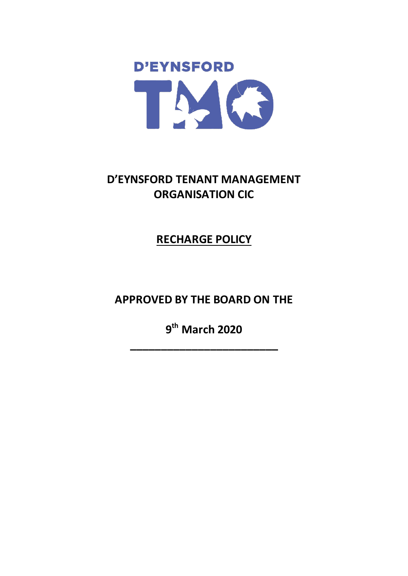

# **D'EYNSFORD TENANT MANAGEMENT ORGANISATION CIC**

**RECHARGE POLICY**

**APPROVED BY THE BOARD ON THE** 

**9 th March 2020**

**\_\_\_\_\_\_\_\_\_\_\_\_\_\_\_\_\_\_\_\_\_\_\_\_**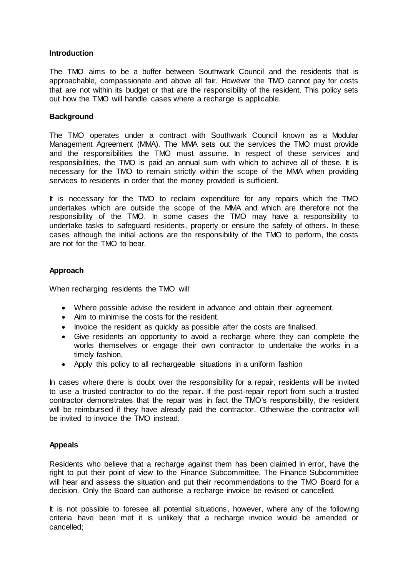#### **Introduction**

The TMO aims to be a buffer between Southwark Council and the residents that is approachable, compassionate and above all fair. However the TMO cannot pay for costs that are not within its budget or that are the responsibility of the resident. This policy sets out how the TMO will handle cases where a recharge is applicable.

#### **Background**

The TMO operates under a contract with Southwark Council known as a Modular Management Agreement (MMA). The MMA sets out the services the TMO must provide and the responsibilities the TMO must assume. In respect of these services and responsibilities, the TMO is paid an annual sum with which to achieve all of these. It is necessary for the TMO to remain strictly within the scope of the MMA when providing services to residents in order that the money provided is sufficient.

It is necessary for the TMO to reclaim expenditure for any repairs which the TMO undertakes which are outside the scope of the MMA and which are therefore not the responsibility of the TMO. In some cases the TMO may have a responsibility to undertake tasks to safeguard residents, property or ensure the safety of others. In these cases although the initial actions are the responsibility of the TMO to perform, the costs are not for the TMO to bear.

### **Approach**

When recharging residents the TMO will:

- Where possible advise the resident in advance and obtain their agreement.
- Aim to minimise the costs for the resident.
- Invoice the resident as quickly as possible after the costs are finalised.
- Give residents an opportunity to avoid a recharge where they can complete the works themselves or engage their own contractor to undertake the works in a timely fashion.
- Apply this policy to all rechargeable situations in a uniform fashion

In cases where there is doubt over the responsibility for a repair, residents will be invited to use a trusted contractor to do the repair. If the post-repair report from such a trusted contractor demonstrates that the repair was in fact the TMO's responsibility, the resident will be reimbursed if they have already paid the contractor. Otherwise the contractor will be invited to invoice the TMO instead.

#### **Appeals**

Residents who believe that a recharge against them has been claimed in error, have the right to put their point of view to the Finance Subcommittee. The Finance Subcommittee will hear and assess the situation and put their recommendations to the TMO Board for a decision. Only the Board can authorise a recharge invoice be revised or cancelled.

It is not possible to foresee all potential situations, however, where any of the following criteria have been met it is unlikely that a recharge invoice would be amended or cancelled;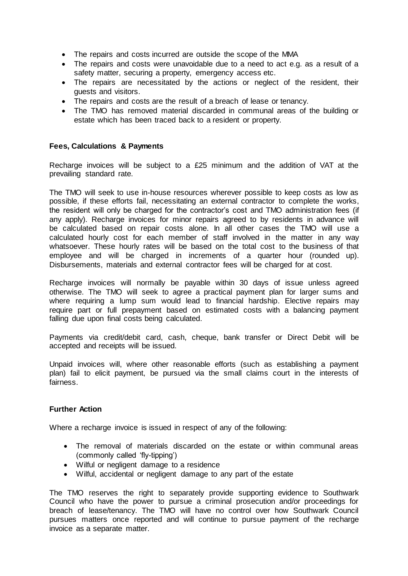- The repairs and costs incurred are outside the scope of the MMA
- The repairs and costs were unavoidable due to a need to act e.g. as a result of a safety matter, securing a property, emergency access etc.
- The repairs are necessitated by the actions or neglect of the resident, their guests and visitors.
- The repairs and costs are the result of a breach of lease or tenancy.
- The TMO has removed material discarded in communal areas of the building or estate which has been traced back to a resident or property.

#### **Fees, Calculations & Payments**

Recharge invoices will be subject to a £25 minimum and the addition of VAT at the prevailing standard rate.

The TMO will seek to use in-house resources wherever possible to keep costs as low as possible, if these efforts fail, necessitating an external contractor to complete the works, the resident will only be charged for the contractor's cost and TMO administration fees (if any apply). Recharge invoices for minor repairs agreed to by residents in advance will be calculated based on repair costs alone. In all other cases the TMO will use a calculated hourly cost for each member of staff involved in the matter in any way whatsoever. These hourly rates will be based on the total cost to the business of that employee and will be charged in increments of a quarter hour (rounded up). Disbursements, materials and external contractor fees will be charged for at cost.

Recharge invoices will normally be payable within 30 days of issue unless agreed otherwise. The TMO will seek to agree a practical payment plan for larger sums and where requiring a lump sum would lead to financial hardship. Elective repairs may require part or full prepayment based on estimated costs with a balancing payment falling due upon final costs being calculated.

Payments via credit/debit card, cash, cheque, bank transfer or Direct Debit will be accepted and receipts will be issued.

Unpaid invoices will, where other reasonable efforts (such as establishing a payment plan) fail to elicit payment, be pursued via the small claims court in the interests of fairness.

#### **Further Action**

Where a recharge invoice is issued in respect of any of the following:

- The removal of materials discarded on the estate or within communal areas (commonly called 'fly-tipping')
- Wilful or negligent damage to a residence
- Wilful, accidental or negligent damage to any part of the estate

The TMO reserves the right to separately provide supporting evidence to Southwark Council who have the power to pursue a criminal prosecution and/or proceedings for breach of lease/tenancy. The TMO will have no control over how Southwark Council pursues matters once reported and will continue to pursue payment of the recharge invoice as a separate matter.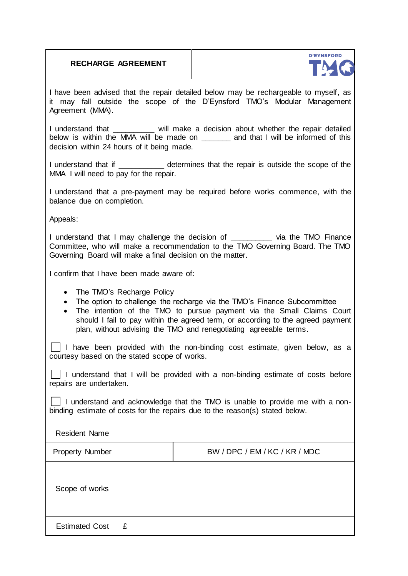|  | <b>RECHARGE AGREEMENT</b> |
|--|---------------------------|
|  |                           |



I have been advised that the repair detailed below may be rechargeable to myself, as it may fall outside the scope of the D'Eynsford TMO's Modular Management Agreement (MMA).

I understand that \_\_\_\_\_\_\_\_\_ will make a decision about whether the repair detailed below is within the MMA will be made on \_\_\_\_\_\_\_ and that I will be informed of this decision within 24 hours of it being made.

I understand that if  $\qquad \qquad$  determines that the repair is outside the scope of the MMA I will need to pay for the repair.

I understand that a pre-payment may be required before works commence, with the balance due on completion.

Appeals:

I understand that I may challenge the decision of The via the TMO Finance Committee, who will make a recommendation to the TMO Governing Board. The TMO Governing Board will make a final decision on the matter.

I confirm that I have been made aware of:

- The TMO's Recharge Policy
- The option to challenge the recharge via the TMO's Finance Subcommittee
- The intention of the TMO to pursue payment via the Small Claims Court should I fail to pay within the agreed term, or according to the agreed payment plan, without advising the TMO and renegotiating agreeable terms.

I I have been provided with the non-binding cost estimate, given below, as a courtesy based on the stated scope of works.

 $\Box$  I understand that I will be provided with a non-binding estimate of costs before repairs are undertaken.

I I understand and acknowledge that the TMO is unable to provide me with a nonbinding estimate of costs for the repairs due to the reason(s) stated below.

| <b>Resident Name</b>  |   |                               |
|-----------------------|---|-------------------------------|
| Property Number       |   | BW / DPC / EM / KC / KR / MDC |
| Scope of works        |   |                               |
| <b>Estimated Cost</b> | £ |                               |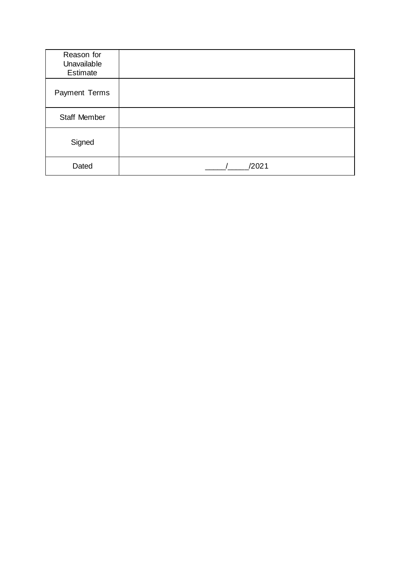| Reason for<br>Unavailable<br>Estimate |       |
|---------------------------------------|-------|
| Payment Terms                         |       |
| <b>Staff Member</b>                   |       |
| Signed                                |       |
| Dated                                 | /2021 |